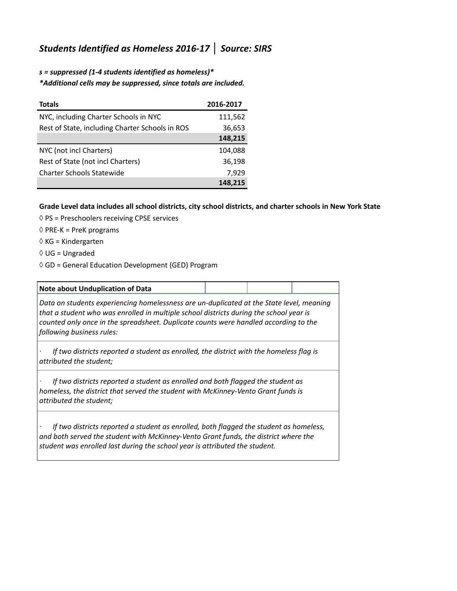## *Students Identified as Homeless 2016-17* **│** *Source: SIRS*

*s = suppressed (1-4 students identified as homeless)\* \*Additional cells may be suppressed, since totals are included.*

| <b>Totals</b>                                   | 2016-2017 |
|-------------------------------------------------|-----------|
| NYC, including Charter Schools in NYC           | 111,562   |
| Rest of State, including Charter Schools in ROS | 36,653    |
|                                                 | 148,215   |
| NYC (not incl Charters)                         | 104,088   |
| Rest of State (not incl Charters)               | 36,198    |
| <b>Charter Schools Statewide</b>                | 7,929     |
|                                                 | 148.215   |

## **Grade Level data includes all school districts, city school districts, and charter schools in New York State**

- $\Diamond$  PS = Preschoolers receiving CPSE services
- $\Diamond$  PRE-K = PreK programs
- ◊ KG = Kindergarten
- ◊ UG = Ungraded
- ◊ GD = General Education Development (GED) Program

| <b>Note about Unduplication of Data</b>                                                                                                                                                                                                                                                                 |  |  |
|---------------------------------------------------------------------------------------------------------------------------------------------------------------------------------------------------------------------------------------------------------------------------------------------------------|--|--|
| Data on students experiencing homelessness are un-duplicated at the State level, meaning<br>that a student who was enrolled in multiple school districts during the school year is<br>counted only once in the spreadsheet. Duplicate counts were handled according to the<br>following business rules: |  |  |
| If two districts reported a student as enrolled, the district with the homeless flag is<br>attributed the student;                                                                                                                                                                                      |  |  |
| If two districts reported a student as enrolled and both flagged the student as<br>homeless, the district that served the student with McKinney-Vento Grant funds is<br>attributed the student;                                                                                                         |  |  |
| If two districts reported a student as enrolled, both flagged the student as homeless,<br>and both served the student with McKinney-Vento Grant funds, the district where the<br>student was enrolled last during the school year is attributed the student.                                            |  |  |